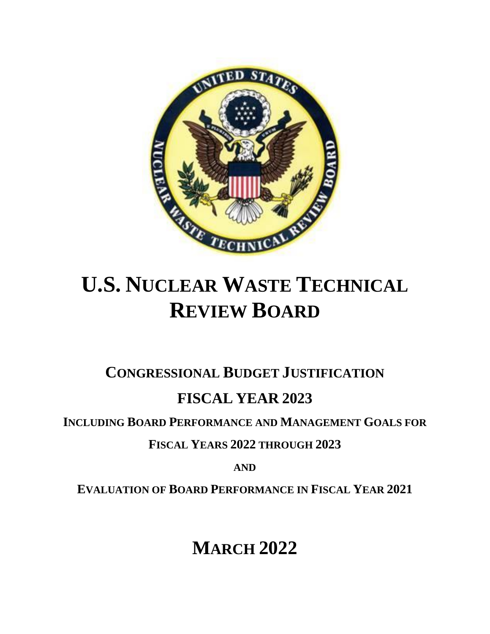

# **U.S. NUCLEAR WASTE TECHNICAL REVIEW BOARD**

**CONGRESSIONAL BUDGET JUSTIFICATION**

## **FISCAL YEAR 2023**

**INCLUDING BOARD PERFORMANCE AND MANAGEMENT GOALS FOR**

**FISCAL YEARS 2022 THROUGH 2023**

**AND**

**EVALUATION OF BOARD PERFORMANCE IN FISCAL YEAR 2021**

**MARCH 2022**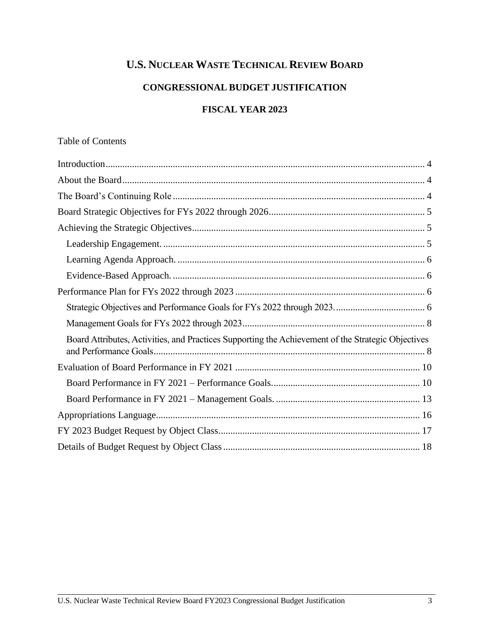## **U.S. NUCLEAR WASTE TECHNICAL REVIEW BOARD**

#### **CONGRESSIONAL BUDGET JUSTIFICATION**

#### **FISCAL YEAR 2023**

#### Table of Contents

| Board Attributes, Activities, and Practices Supporting the Achievement of the Strategic Objectives |
|----------------------------------------------------------------------------------------------------|
|                                                                                                    |
|                                                                                                    |
|                                                                                                    |
|                                                                                                    |
|                                                                                                    |
|                                                                                                    |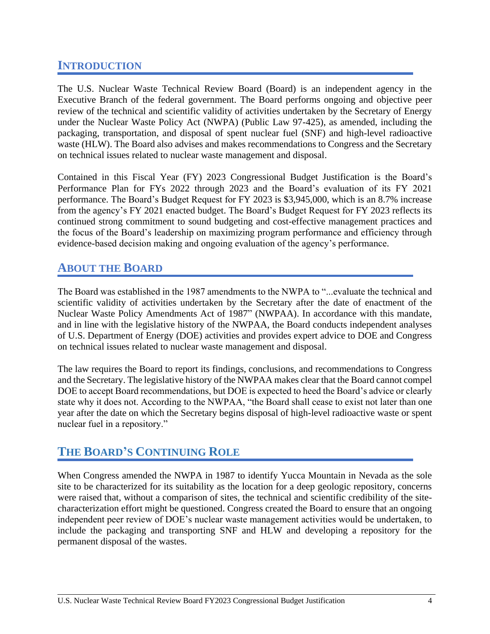## <span id="page-3-0"></span>**INTRODUCTION**

The U.S. Nuclear Waste Technical Review Board (Board) is an independent agency in the Executive Branch of the federal government. The Board performs ongoing and objective peer review of the technical and scientific validity of activities undertaken by the Secretary of Energy under the Nuclear Waste Policy Act (NWPA) (Public Law 97-425), as amended, including the packaging, transportation, and disposal of spent nuclear fuel (SNF) and high-level radioactive waste (HLW). The Board also advises and makes recommendations to Congress and the Secretary on technical issues related to nuclear waste management and disposal.

Contained in this Fiscal Year (FY) 2023 Congressional Budget Justification is the Board's Performance Plan for FYs 2022 through 2023 and the Board's evaluation of its FY 2021 performance. The Board's Budget Request for FY 2023 is \$3,945,000, which is an 8.7% increase from the agency's FY 2021 enacted budget. The Board's Budget Request for FY 2023 reflects its continued strong commitment to sound budgeting and cost-effective management practices and the focus of the Board's leadership on maximizing program performance and efficiency through evidence-based decision making and ongoing evaluation of the agency's performance.

## <span id="page-3-1"></span>**ABOUT THE BOARD**

The Board was established in the 1987 amendments to the NWPA to "...evaluate the technical and scientific validity of activities undertaken by the Secretary after the date of enactment of the Nuclear Waste Policy Amendments Act of 1987" (NWPAA). In accordance with this mandate, and in line with the legislative history of the NWPAA, the Board conducts independent analyses of U.S. Department of Energy (DOE) activities and provides expert advice to DOE and Congress on technical issues related to nuclear waste management and disposal.

The law requires the Board to report its findings, conclusions, and recommendations to Congress and the Secretary. The legislative history of the NWPAA makes clear that the Board cannot compel DOE to accept Board recommendations, but DOE is expected to heed the Board's advice or clearly state why it does not. According to the NWPAA, "the Board shall cease to exist not later than one year after the date on which the Secretary begins disposal of high-level radioactive waste or spent nuclear fuel in a repository."

## <span id="page-3-2"></span>**THE BOARD'S CONTINUING ROLE**

When Congress amended the NWPA in 1987 to identify Yucca Mountain in Nevada as the sole site to be characterized for its suitability as the location for a deep geologic repository, concerns were raised that, without a comparison of sites, the technical and scientific credibility of the sitecharacterization effort might be questioned. Congress created the Board to ensure that an ongoing independent peer review of DOE's nuclear waste management activities would be undertaken, to include the packaging and transporting SNF and HLW and developing a repository for the permanent disposal of the wastes.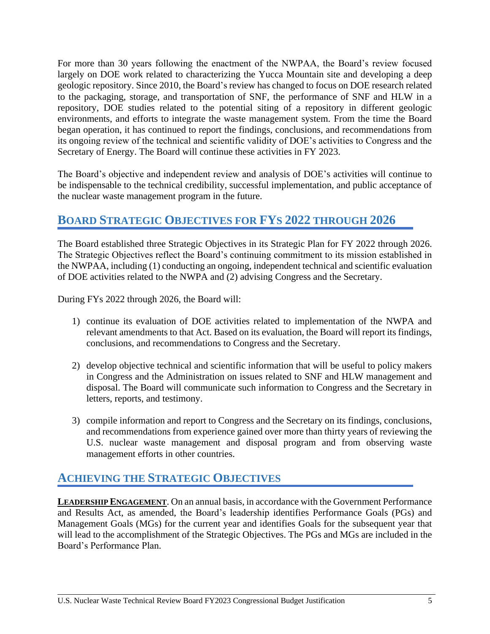For more than 30 years following the enactment of the NWPAA, the Board's review focused largely on DOE work related to characterizing the Yucca Mountain site and developing a deep geologic repository. Since 2010, the Board's review has changed to focus on DOE research related to the packaging, storage, and transportation of SNF, the performance of SNF and HLW in a repository, DOE studies related to the potential siting of a repository in different geologic environments, and efforts to integrate the waste management system. From the time the Board began operation, it has continued to report the findings, conclusions, and recommendations from its ongoing review of the technical and scientific validity of DOE's activities to Congress and the Secretary of Energy. The Board will continue these activities in FY 2023.

The Board's objective and independent review and analysis of DOE's activities will continue to be indispensable to the technical credibility, successful implementation, and public acceptance of the nuclear waste management program in the future.

## <span id="page-4-0"></span>**BOARD STRATEGIC OBJECTIVES FOR FYS 2022 THROUGH 2026**

The Board established three Strategic Objectives in its Strategic Plan for FY 2022 through 2026. The Strategic Objectives reflect the Board's continuing commitment to its mission established in the NWPAA, including (1) conducting an ongoing, independent technical and scientific evaluation of DOE activities related to the NWPA and (2) advising Congress and the Secretary.

During FYs 2022 through 2026, the Board will:

- 1) continue its evaluation of DOE activities related to implementation of the NWPA and relevant amendments to that Act. Based on its evaluation, the Board will report its findings, conclusions, and recommendations to Congress and the Secretary.
- 2) develop objective technical and scientific information that will be useful to policy makers in Congress and the Administration on issues related to SNF and HLW management and disposal. The Board will communicate such information to Congress and the Secretary in letters, reports, and testimony.
- 3) compile information and report to Congress and the Secretary on its findings, conclusions, and recommendations from experience gained over more than thirty years of reviewing the U.S. nuclear waste management and disposal program and from observing waste management efforts in other countries.

## <span id="page-4-1"></span>**ACHIEVING THE STRATEGIC OBJECTIVES**

<span id="page-4-2"></span>**LEADERSHIP ENGAGEMENT**. On an annual basis, in accordance with the Government Performance and Results Act, as amended, the Board's leadership identifies Performance Goals (PGs) and Management Goals (MGs) for the current year and identifies Goals for the subsequent year that will lead to the accomplishment of the Strategic Objectives. The PGs and MGs are included in the Board's Performance Plan.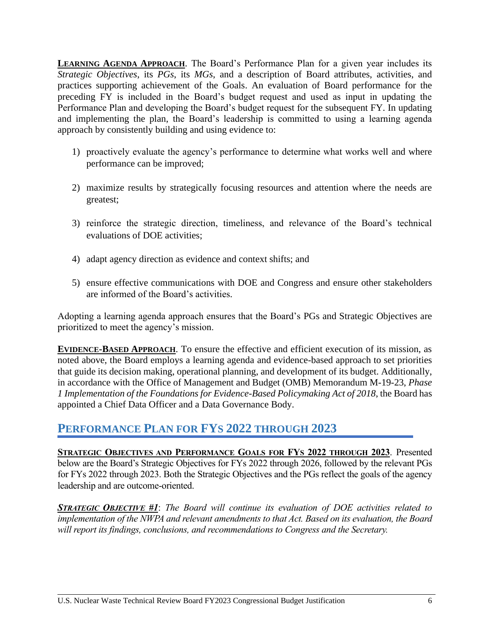<span id="page-5-0"></span>**LEARNING AGENDA APPROACH**. The Board's Performance Plan for a given year includes its *Strategic Objectives*, its *PGs*, its *MGs*, and a description of Board attributes, activities, and practices supporting achievement of the Goals. An evaluation of Board performance for the preceding FY is included in the Board's budget request and used as input in updating the Performance Plan and developing the Board's budget request for the subsequent FY. In updating and implementing the plan, the Board's leadership is committed to using a learning agenda approach by consistently building and using evidence to:

- 1) proactively evaluate the agency's performance to determine what works well and where performance can be improved;
- 2) maximize results by strategically focusing resources and attention where the needs are greatest;
- 3) reinforce the strategic direction, timeliness, and relevance of the Board's technical evaluations of DOE activities;
- 4) adapt agency direction as evidence and context shifts; and
- 5) ensure effective communications with DOE and Congress and ensure other stakeholders are informed of the Board's activities.

Adopting a learning agenda approach ensures that the Board's PGs and Strategic Objectives are prioritized to meet the agency's mission.

<span id="page-5-1"></span>**EVIDENCE-BASED APPROACH**. To ensure the effective and efficient execution of its mission, as noted above, the Board employs a learning agenda and evidence-based approach to set priorities that guide its decision making, operational planning, and development of its budget. Additionally, in accordance with the Office of Management and Budget (OMB) Memorandum M-19-23, *Phase 1 Implementation of the Foundations for Evidence-Based Policymaking Act of 2018*, the Board has appointed a Chief Data Officer and a Data Governance Body.

### <span id="page-5-2"></span>**PERFORMANCE PLAN FOR FYS 2022 THROUGH 2023**

<span id="page-5-3"></span>**STRATEGIC OBJECTIVES AND PERFORMANCE GOALS FOR FYS 2022 THROUGH 2023**. Presented below are the Board's Strategic Objectives for FYs 2022 through 2026, followed by the relevant PGs for FYs 2022 through 2023. Both the Strategic Objectives and the PGs reflect the goals of the agency leadership and are outcome-oriented.

*STRATEGIC OBJECTIVE #1*: *The Board will continue its evaluation of DOE activities related to implementation of the NWPA and relevant amendments to that Act. Based on its evaluation, the Board will report its findings, conclusions, and recommendations to Congress and the Secretary.*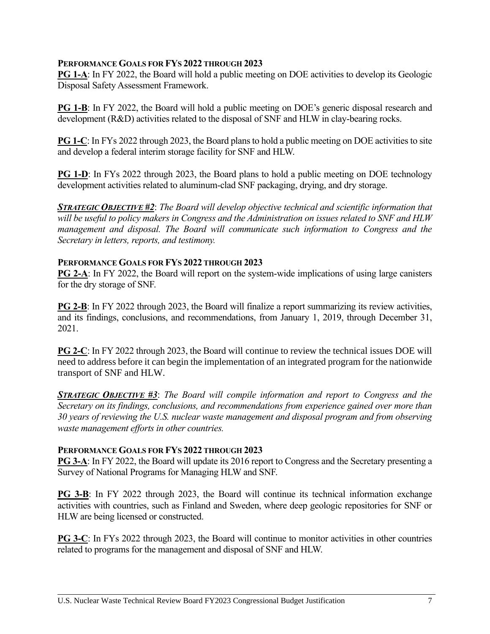#### **PERFORMANCE GOALS FOR FYS 2022 THROUGH 2023**

**PG 1-A:** In FY 2022, the Board will hold a public meeting on DOE activities to develop its Geologic Disposal Safety Assessment Framework.

**PG 1-B:** In FY 2022, the Board will hold a public meeting on DOE's generic disposal research and development (R&D) activities related to the disposal of SNF and HLW in clay-bearing rocks.

**PG 1-C**: In FYs 2022 through 2023, the Board plans to hold a public meeting on DOE activities to site and develop a federal interim storage facility for SNF and HLW.

**PG 1-D**: In FYs 2022 through 2023, the Board plans to hold a public meeting on DOE technology development activities related to aluminum-clad SNF packaging, drying, and dry storage.

*STRATEGIC OBJECTIVE #2*: *The Board will develop objective technical and scientific information that will be useful to policy makers in Congress and the Administration on issues related to SNF and HLW management and disposal. The Board will communicate such information to Congress and the Secretary in letters, reports, and testimony.*

#### **PERFORMANCE GOALS FOR FYS 2022 THROUGH 2023**

**PG 2-A**: In FY 2022, the Board will report on the system-wide implications of using large canisters for the dry storage of SNF.

**PG 2-B**: In FY 2022 through 2023, the Board will finalize a report summarizing its review activities, and its findings, conclusions, and recommendations, from January 1, 2019, through December 31, 2021.

**PG 2-C**: In FY 2022 through 2023, the Board will continue to review the technical issues DOE will need to address before it can begin the implementation of an integrated program for the nationwide transport of SNF and HLW.

*STRATEGIC OBJECTIVE #3*: *The Board will compile information and report to Congress and the Secretary on its findings, conclusions, and recommendations from experience gained over more than 30 years of reviewing the U.S. nuclear waste management and disposal program and from observing waste management efforts in other countries.*

#### **PERFORMANCE GOALS FOR FYS 2022 THROUGH 2023**

**PG 3-A**: In FY 2022, the Board will update its 2016 report to Congress and the Secretary presenting a Survey of National Programs for Managing HLW and SNF.

**PG 3-B**: In FY 2022 through 2023, the Board will continue its technical information exchange activities with countries, such as Finland and Sweden, where deep geologic repositories for SNF or HLW are being licensed or constructed.

**PG 3-C**: In FYs 2022 through 2023, the Board will continue to monitor activities in other countries related to programs for the management and disposal of SNF and HLW.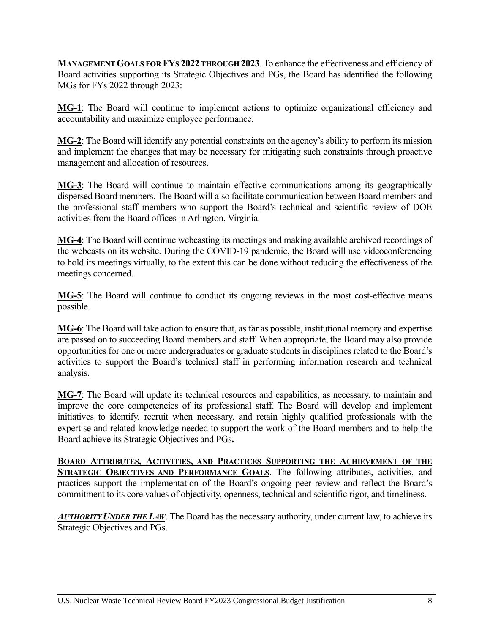<span id="page-7-0"></span>**MANAGEMENT GOALS FOR FYS 2022 THROUGH 2023**.To enhance the effectiveness and efficiency of Board activities supporting its Strategic Objectives and PGs, the Board has identified the following MGs for FYs 2022 through 2023:

**MG-1**: The Board will continue to implement actions to optimize organizational efficiency and accountability and maximize employee performance.

**MG-2**: The Board will identify any potential constraints on the agency's ability to perform its mission and implement the changes that may be necessary for mitigating such constraints through proactive management and allocation of resources.

**MG-3**: The Board will continue to maintain effective communications among its geographically dispersed Board members. The Board will also facilitate communication between Board members and the professional staff members who support the Board's technical and scientific review of DOE activities from the Board offices in Arlington, Virginia.

**MG-4**: The Board will continue webcasting its meetings and making available archived recordings of the webcasts on its website. During the COVID-19 pandemic, the Board will use videoconferencing to hold its meetings virtually, to the extent this can be done without reducing the effectiveness of the meetings concerned.

**MG-5**: The Board will continue to conduct its ongoing reviews in the most cost-effective means possible.

**MG-6**: The Board will take action to ensure that, as far as possible, institutional memory and expertise are passed on to succeeding Board members and staff. When appropriate, the Board may also provide opportunities for one or more undergraduates or graduate students in disciplines related to the Board's activities to support the Board's technical staff in performing information research and technical analysis.

**MG-7**: The Board will update its technical resources and capabilities, as necessary, to maintain and improve the core competencies of its professional staff. The Board will develop and implement initiatives to identify, recruit when necessary, and retain highly qualified professionals with the expertise and related knowledge needed to support the work of the Board members and to help the Board achieve its Strategic Objectives and PGs**.**

<span id="page-7-1"></span>**BOARD ATTRIBUTES, ACTIVITIES, AND PRACTICES SUPPORTING THE ACHIEVEMENT OF THE STRATEGIC OBJECTIVES AND PERFORMANCE GOALS**. The following attributes, activities, and practices support the implementation of the Board's ongoing peer review and reflect the Board's commitment to its core values of objectivity, openness, technical and scientific rigor, and timeliness.

*AUTHORITY UNDER THE LAW*. The Board has the necessary authority, under current law, to achieve its Strategic Objectives and PGs.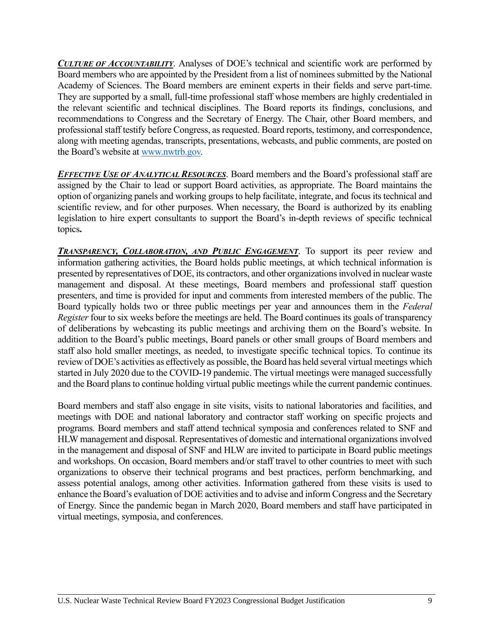*CULTURE OF ACCOUNTABILITY*. Analyses of DOE's technical and scientific work are performed by Board members who are appointed by the President from a list of nominees submitted by the National Academy of Sciences. The Board members are eminent experts in their fields and serve part-time. They are supported by a small, full-time professional staff whose members are highly credentialed in the relevant scientific and technical disciplines. The Board reports its findings, conclusions, and recommendations to Congress and the Secretary of Energy. The Chair, other Board members, and professional staff testify before Congress, as requested. Board reports, testimony, and correspondence, along with meeting agendas, transcripts, presentations, webcasts, and public comments, are posted on the Board's website a[t www.nwtrb.gov.](http://www.nwtrb.gov/)

*EFFECTIVE USE OF ANALYTICAL RESOURCES*. Board members and the Board's professional staff are assigned by the Chair to lead or support Board activities, as appropriate. The Board maintains the option of organizing panels and working groups to help facilitate, integrate, and focus its technical and scientific review, and for other purposes. When necessary, the Board is authorized by its enabling legislation to hire expert consultants to support the Board's in-depth reviews of specific technical topics**.** 

*TRANSPARENCY, COLLABORATION, AND PUBLIC ENGAGEMENT*. To support its peer review and information gathering activities, the Board holds public meetings, at which technical information is presented by representatives of DOE, its contractors, and other organizationsinvolved in nuclear waste management and disposal. At these meetings, Board members and professional staff question presenters, and time is provided for input and comments from interested members of the public. The Board typically holds two or three public meetings per year and announces them in the *Federal Register* four to six weeks before the meetings are held. The Board continues its goals of transparency of deliberations by webcasting its public meetings and archiving them on the Board's website. In addition to the Board's public meetings, Board panels or other small groups of Board members and staff also hold smaller meetings, as needed, to investigate specific technical topics. To continue its review of DOE's activities as effectively as possible, the Board has held several virtual meetings which started in July 2020 due to the COVID-19 pandemic. The virtual meetings were managed successfully and the Board plans to continue holding virtual public meetings while the current pandemic continues.

Board members and staff also engage in site visits, visits to national laboratories and facilities, and meetings with DOE and national laboratory and contractor staff working on specific projects and programs. Board members and staff attend technical symposia and conferences related to SNF and HLW management and disposal. Representatives of domestic and international organizations involved in the management and disposal of SNF and HLW are invited to participate in Board public meetings and workshops. On occasion, Board members and/or staff travel to other countries to meet with such organizations to observe their technical programs and best practices, perform benchmarking, and assess potential analogs, among other activities. Information gathered from these visits is used to enhance the Board's evaluation of DOE activities and to advise and inform Congress and the Secretary of Energy. Since the pandemic began in March 2020, Board members and staff have participated in virtual meetings, symposia, and conferences.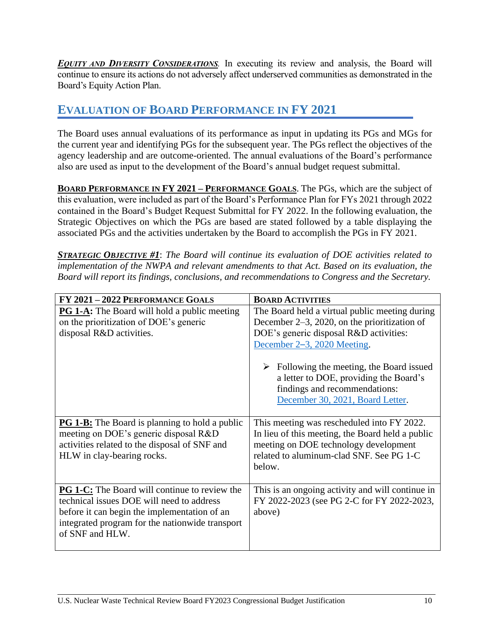*EQUITY AND DIVERSITY CONSIDERATIONS.* In executing its review and analysis, the Board will continue to ensure its actions do not adversely affect underserved communities as demonstrated in the Board's Equity Action Plan.

## <span id="page-9-0"></span>**EVALUATION OF BOARD PERFORMANCE IN FY 2021**

The Board uses annual evaluations of its performance as input in updating its PGs and MGs for the current year and identifying PGs for the subsequent year. The PGs reflect the objectives of the agency leadership and are outcome-oriented. The annual evaluations of the Board's performance also are used as input to the development of the Board's annual budget request submittal.

<span id="page-9-1"></span>**BOARD PERFORMANCE IN FY 2021 – PERFORMANCE GOALS**. The PGs, which are the subject of this evaluation, were included as part of the Board's Performance Plan for FYs 2021 through 2022 contained in the Board's Budget Request Submittal for FY 2022. In the following evaluation, the Strategic Objectives on which the PGs are based are stated followed by a table displaying the associated PGs and the activities undertaken by the Board to accomplish the PGs in FY 2021.

*STRATEGIC OBJECTIVE #1*: *The Board will continue its evaluation of DOE activities related to implementation of the NWPA and relevant amendments to that Act. Based on its evaluation, the Board will report its findings, conclusions, and recommendations to Congress and the Secretary.*

| FY 2021 - 2022 PERFORMANCE GOALS                                                                                                                                                                                        | <b>BOARD ACTIVITIES</b>                                                                                                                                                                                                                                                                                                                               |
|-------------------------------------------------------------------------------------------------------------------------------------------------------------------------------------------------------------------------|-------------------------------------------------------------------------------------------------------------------------------------------------------------------------------------------------------------------------------------------------------------------------------------------------------------------------------------------------------|
| <b>PG 1-A:</b> The Board will hold a public meeting<br>on the prioritization of DOE's generic<br>disposal R&D activities.                                                                                               | The Board held a virtual public meeting during<br>December $2-3$ , 2020, on the prioritization of<br>DOE's generic disposal R&D activities:<br>December 2–3, 2020 Meeting.<br>$\triangleright$ Following the meeting, the Board issued<br>a letter to DOE, providing the Board's<br>findings and recommendations:<br>December 30, 2021, Board Letter. |
| <b>PG 1-B:</b> The Board is planning to hold a public<br>meeting on DOE's generic disposal R&D<br>activities related to the disposal of SNF and<br>HLW in clay-bearing rocks.                                           | This meeting was rescheduled into FY 2022.<br>In lieu of this meeting, the Board held a public<br>meeting on DOE technology development<br>related to aluminum-clad SNF. See PG 1-C<br>below.                                                                                                                                                         |
| <b>PG 1-C:</b> The Board will continue to review the<br>technical issues DOE will need to address<br>before it can begin the implementation of an<br>integrated program for the nationwide transport<br>of SNF and HLW. | This is an ongoing activity and will continue in<br>FY 2022-2023 (see PG 2-C for FY 2022-2023,<br>above)                                                                                                                                                                                                                                              |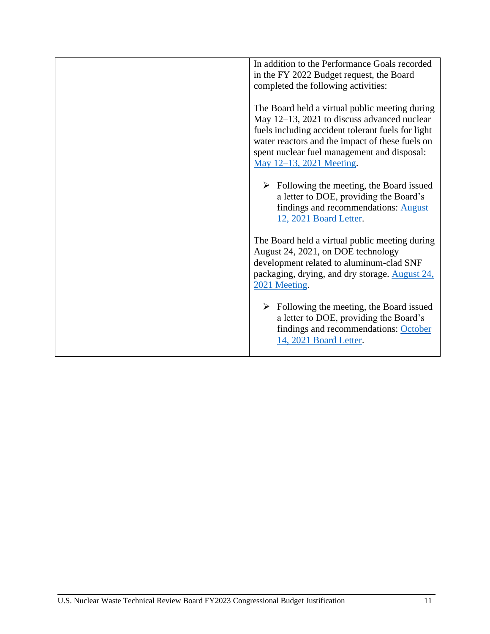| In addition to the Performance Goals recorded<br>in the FY 2022 Budget request, the Board<br>completed the following activities:                                                                                                                                                 |  |  |
|----------------------------------------------------------------------------------------------------------------------------------------------------------------------------------------------------------------------------------------------------------------------------------|--|--|
| The Board held a virtual public meeting during<br>May 12-13, 2021 to discuss advanced nuclear<br>fuels including accident tolerant fuels for light<br>water reactors and the impact of these fuels on<br>spent nuclear fuel management and disposal:<br>May 12–13, 2021 Meeting. |  |  |
| $\triangleright$ Following the meeting, the Board issued<br>a letter to DOE, providing the Board's<br>findings and recommendations: August<br>12, 2021 Board Letter.                                                                                                             |  |  |
| The Board held a virtual public meeting during<br>August 24, 2021, on DOE technology<br>development related to aluminum-clad SNF<br>packaging, drying, and dry storage. August 24,<br>2021 Meeting.                                                                              |  |  |
| $\triangleright$ Following the meeting, the Board issued<br>a letter to DOE, providing the Board's<br>findings and recommendations: October<br>14, 2021 Board Letter.                                                                                                            |  |  |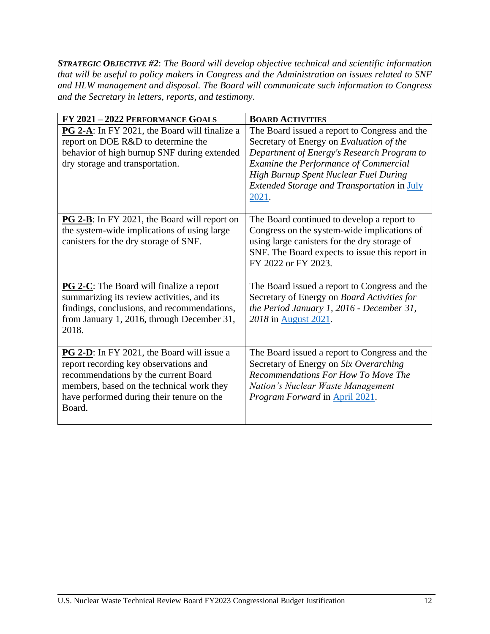*STRATEGIC OBJECTIVE #2*: *The Board will develop objective technical and scientific information that will be useful to policy makers in Congress and the Administration on issues related to SNF and HLW management and disposal. The Board will communicate such information to Congress and the Secretary in letters, reports, and testimony*.

| FY 2021 - 2022 PERFORMANCE GOALS                                                                                                                                                                                                        | <b>BOARD ACTIVITIES</b>                                                                                                                                                                                                                                                           |  |  |
|-----------------------------------------------------------------------------------------------------------------------------------------------------------------------------------------------------------------------------------------|-----------------------------------------------------------------------------------------------------------------------------------------------------------------------------------------------------------------------------------------------------------------------------------|--|--|
| <b>PG 2-A:</b> In FY 2021, the Board will finalize a<br>report on DOE R&D to determine the<br>behavior of high burnup SNF during extended<br>dry storage and transportation.                                                            | The Board issued a report to Congress and the<br>Secretary of Energy on Evaluation of the<br>Department of Energy's Research Program to<br>Examine the Performance of Commercial<br>High Burnup Spent Nuclear Fuel During<br>Extended Storage and Transportation in July<br>2021. |  |  |
| <b>PG 2-B</b> : In FY 2021, the Board will report on<br>the system-wide implications of using large<br>canisters for the dry storage of SNF.                                                                                            | The Board continued to develop a report to<br>Congress on the system-wide implications of<br>using large canisters for the dry storage of<br>SNF. The Board expects to issue this report in<br>FY 2022 or FY 2023.                                                                |  |  |
| <b>PG 2-C</b> : The Board will finalize a report<br>summarizing its review activities, and its<br>findings, conclusions, and recommendations,<br>from January 1, 2016, through December 31,<br>2018.                                    | The Board issued a report to Congress and the<br>Secretary of Energy on Board Activities for<br>the Period January 1, 2016 - December 31,<br>2018 in August 2021.                                                                                                                 |  |  |
| <b>PG 2-D</b> : In FY 2021, the Board will issue a<br>report recording key observations and<br>recommendations by the current Board<br>members, based on the technical work they<br>have performed during their tenure on the<br>Board. | The Board issued a report to Congress and the<br>Secretary of Energy on Six Overarching<br>Recommendations For How To Move The<br>Nation's Nuclear Waste Management<br>Program Forward in April 2021.                                                                             |  |  |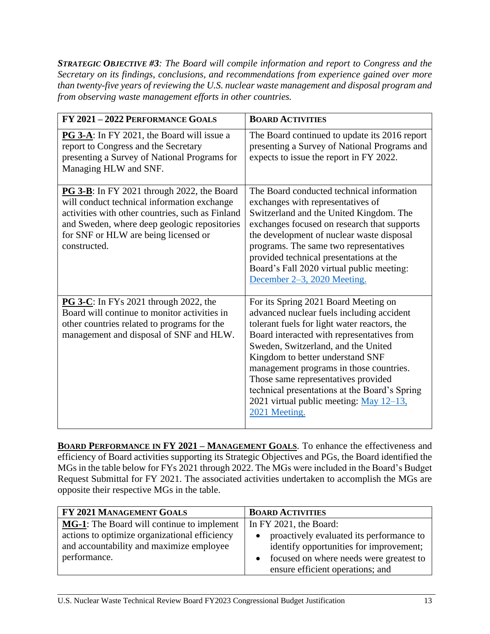*STRATEGIC OBJECTIVE #3: The Board will compile information and report to Congress and the Secretary on its findings, conclusions, and recommendations from experience gained over more than twenty-five years of reviewing the U.S. nuclear waste management and disposal program and from observing waste management efforts in other countries.*

| FY 2021-2022 PERFORMANCE GOALS                                                                                                                                                                                                                                | <b>BOARD ACTIVITIES</b>                                                                                                                                                                                                                                                                                                                                                                                                                                   |
|---------------------------------------------------------------------------------------------------------------------------------------------------------------------------------------------------------------------------------------------------------------|-----------------------------------------------------------------------------------------------------------------------------------------------------------------------------------------------------------------------------------------------------------------------------------------------------------------------------------------------------------------------------------------------------------------------------------------------------------|
| PG 3-A: In FY 2021, the Board will issue a<br>report to Congress and the Secretary<br>presenting a Survey of National Programs for<br>Managing HLW and SNF.                                                                                                   | The Board continued to update its 2016 report<br>presenting a Survey of National Programs and<br>expects to issue the report in FY 2022.                                                                                                                                                                                                                                                                                                                  |
| <b>PG 3-B</b> : In FY 2021 through 2022, the Board<br>will conduct technical information exchange<br>activities with other countries, such as Finland<br>and Sweden, where deep geologic repositories<br>for SNF or HLW are being licensed or<br>constructed. | The Board conducted technical information<br>exchanges with representatives of<br>Switzerland and the United Kingdom. The<br>exchanges focused on research that supports<br>the development of nuclear waste disposal<br>programs. The same two representatives<br>provided technical presentations at the<br>Board's Fall 2020 virtual public meeting:<br>December 2–3, 2020 Meeting.                                                                    |
| <b>PG 3-C</b> : In FYs 2021 through 2022, the<br>Board will continue to monitor activities in<br>other countries related to programs for the<br>management and disposal of SNF and HLW.                                                                       | For its Spring 2021 Board Meeting on<br>advanced nuclear fuels including accident<br>tolerant fuels for light water reactors, the<br>Board interacted with representatives from<br>Sweden, Switzerland, and the United<br>Kingdom to better understand SNF<br>management programs in those countries.<br>Those same representatives provided<br>technical presentations at the Board's Spring<br>2021 virtual public meeting: May 12-13,<br>2021 Meeting. |

<span id="page-12-0"></span>**BOARD PERFORMANCE IN FY 2021 – MANAGEMENT GOALS**. To enhance the effectiveness and efficiency of Board activities supporting its Strategic Objectives and PGs, the Board identified the MGs in the table below for FYs 2021 through 2022. The MGs were included in the Board's Budget Request Submittal for FY 2021. The associated activities undertaken to accomplish the MGs are opposite their respective MGs in the table.

| FY 2021 MANAGEMENT GOALS                           | <b>BOARD ACTIVITIES</b>                               |
|----------------------------------------------------|-------------------------------------------------------|
| <b>MG-1</b> : The Board will continue to implement | In FY 2021, the Board:                                |
| actions to optimize organizational efficiency      | proactively evaluated its performance to<br>$\bullet$ |
| and accountability and maximize employee           | identify opportunities for improvement;               |
| performance.                                       | focused on where needs were greatest to<br>$\bullet$  |
|                                                    | ensure efficient operations; and                      |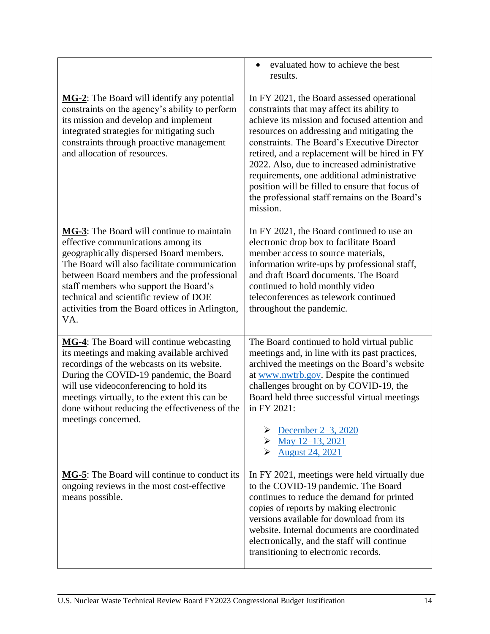|                                                                                                                                                                                                                                                                                                                                                                       | evaluated how to achieve the best<br>$\bullet$<br>results.                                                                                                                                                                                                                                                                                                                                                                                                                                             |  |
|-----------------------------------------------------------------------------------------------------------------------------------------------------------------------------------------------------------------------------------------------------------------------------------------------------------------------------------------------------------------------|--------------------------------------------------------------------------------------------------------------------------------------------------------------------------------------------------------------------------------------------------------------------------------------------------------------------------------------------------------------------------------------------------------------------------------------------------------------------------------------------------------|--|
| MG-2: The Board will identify any potential<br>constraints on the agency's ability to perform<br>its mission and develop and implement<br>integrated strategies for mitigating such<br>constraints through proactive management<br>and allocation of resources.                                                                                                       | In FY 2021, the Board assessed operational<br>constraints that may affect its ability to<br>achieve its mission and focused attention and<br>resources on addressing and mitigating the<br>constraints. The Board's Executive Director<br>retired, and a replacement will be hired in FY<br>2022. Also, due to increased administrative<br>requirements, one additional administrative<br>position will be filled to ensure that focus of<br>the professional staff remains on the Board's<br>mission. |  |
| MG-3: The Board will continue to maintain<br>effective communications among its<br>geographically dispersed Board members.<br>The Board will also facilitate communication<br>between Board members and the professional<br>staff members who support the Board's<br>technical and scientific review of DOE<br>activities from the Board offices in Arlington,<br>VA. | In FY 2021, the Board continued to use an<br>electronic drop box to facilitate Board<br>member access to source materials,<br>information write-ups by professional staff,<br>and draft Board documents. The Board<br>continued to hold monthly video<br>teleconferences as telework continued<br>throughout the pandemic.                                                                                                                                                                             |  |
| MG-4: The Board will continue webcasting<br>its meetings and making available archived<br>recordings of the webcasts on its website.<br>During the COVID-19 pandemic, the Board<br>will use videoconferencing to hold its<br>meetings virtually, to the extent this can be<br>done without reducing the effectiveness of the<br>meetings concerned.                   | The Board continued to hold virtual public<br>meetings and, in line with its past practices,<br>archived the meetings on the Board's website<br>at www.nwtrb.gov. Despite the continued<br>challenges brought on by COVID-19, the<br>Board held three successful virtual meetings<br>in FY 2021:<br>December 2–3, 2020<br>• May 12–13, 2021<br><b>August 24, 2021</b>                                                                                                                                  |  |
| MG-5: The Board will continue to conduct its<br>ongoing reviews in the most cost-effective<br>means possible.                                                                                                                                                                                                                                                         | In FY 2021, meetings were held virtually due<br>to the COVID-19 pandemic. The Board<br>continues to reduce the demand for printed<br>copies of reports by making electronic<br>versions available for download from its<br>website. Internal documents are coordinated<br>electronically, and the staff will continue<br>transitioning to electronic records.                                                                                                                                          |  |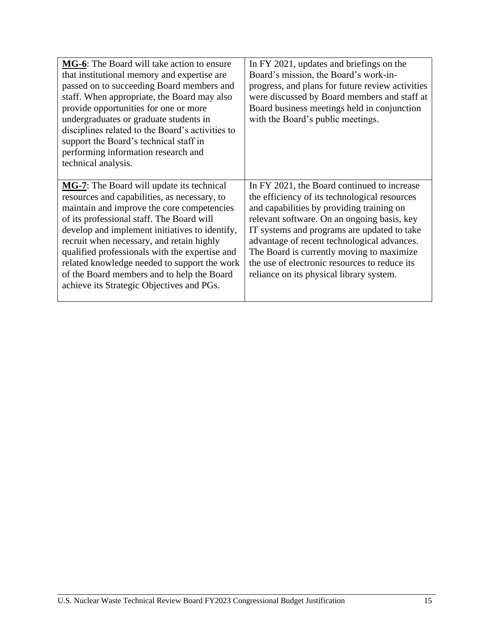| MG-6: The Board will take action to ensure<br>that institutional memory and expertise are<br>passed on to succeeding Board members and<br>staff. When appropriate, the Board may also<br>provide opportunities for one or more<br>undergraduates or graduate students in<br>disciplines related to the Board's activities to<br>support the Board's technical staff in<br>performing information research and<br>technical analysis.                                                    | In FY 2021, updates and briefings on the<br>Board's mission, the Board's work-in-<br>progress, and plans for future review activities<br>were discussed by Board members and staff at<br>Board business meetings held in conjunction<br>with the Board's public meetings.                                                                                                                                                        |
|-----------------------------------------------------------------------------------------------------------------------------------------------------------------------------------------------------------------------------------------------------------------------------------------------------------------------------------------------------------------------------------------------------------------------------------------------------------------------------------------|----------------------------------------------------------------------------------------------------------------------------------------------------------------------------------------------------------------------------------------------------------------------------------------------------------------------------------------------------------------------------------------------------------------------------------|
| <b>MG-7:</b> The Board will update its technical<br>resources and capabilities, as necessary, to<br>maintain and improve the core competencies<br>of its professional staff. The Board will<br>develop and implement initiatives to identify,<br>recruit when necessary, and retain highly<br>qualified professionals with the expertise and<br>related knowledge needed to support the work<br>of the Board members and to help the Board<br>achieve its Strategic Objectives and PGs. | In FY 2021, the Board continued to increase<br>the efficiency of its technological resources<br>and capabilities by providing training on<br>relevant software. On an ongoing basis, key<br>IT systems and programs are updated to take<br>advantage of recent technological advances.<br>The Board is currently moving to maximize<br>the use of electronic resources to reduce its<br>reliance on its physical library system. |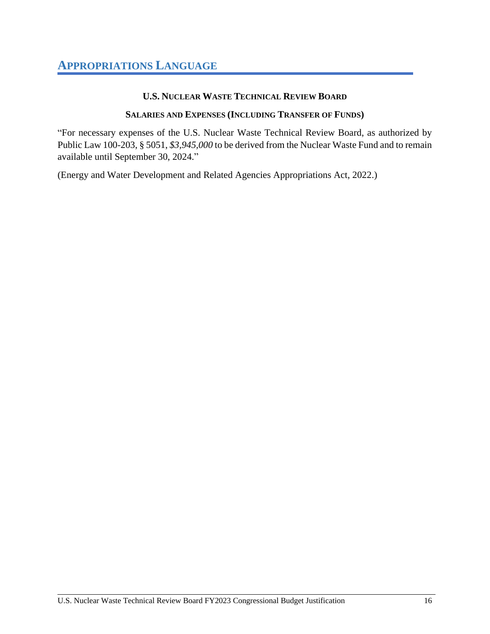#### **U.S. NUCLEAR WASTE TECHNICAL REVIEW BOARD**

#### **SALARIES AND EXPENSES (INCLUDING TRANSFER OF FUNDS)**

<span id="page-15-0"></span>"For necessary expenses of the U.S. Nuclear Waste Technical Review Board, as authorized by Public Law 100-203, § 5051, *\$3,945,000* to be derived from the Nuclear Waste Fund and to remain available until September 30, 2024."

(Energy and Water Development and Related Agencies Appropriations Act, 2022.)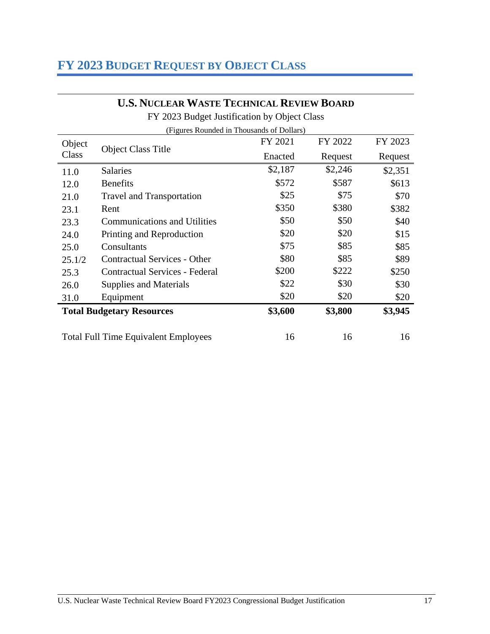## <span id="page-16-0"></span>**FY 2023 BUDGET REQUEST BY OBJECT CLASS**

### **U.S. NUCLEAR WASTE TECHNICAL REVIEW BOARD**

FY 2023 Budget Justification by Object Class

| (Figures Rounded in Thousands of Dollars) |                                             |         |         |         |
|-------------------------------------------|---------------------------------------------|---------|---------|---------|
| Object                                    | <b>Object Class Title</b><br>Class          | FY 2021 | FY 2022 | FY 2023 |
|                                           |                                             | Enacted | Request | Request |
| 11.0                                      | <b>Salaries</b>                             | \$2,187 | \$2,246 | \$2,351 |
| 12.0                                      | <b>Benefits</b>                             | \$572   | \$587   | \$613   |
| 21.0                                      | <b>Travel and Transportation</b>            | \$25    | \$75    | \$70    |
| 23.1                                      | Rent                                        | \$350   | \$380   | \$382   |
| 23.3                                      | <b>Communications and Utilities</b>         | \$50    | \$50    | \$40    |
| 24.0                                      | Printing and Reproduction                   | \$20    | \$20    | \$15    |
| 25.0                                      | Consultants                                 | \$75    | \$85    | \$85    |
| 25.1/2                                    | <b>Contractual Services - Other</b>         | \$80    | \$85    | \$89    |
| 25.3                                      | <b>Contractual Services - Federal</b>       | \$200   | \$222   | \$250   |
| 26.0                                      | Supplies and Materials                      | \$22    | \$30    | \$30    |
| 31.0                                      | Equipment                                   | \$20    | \$20    | \$20    |
|                                           | <b>Total Budgetary Resources</b>            | \$3,600 | \$3,800 | \$3,945 |
|                                           | <b>Total Full Time Equivalent Employees</b> | 16      | 16      | 16      |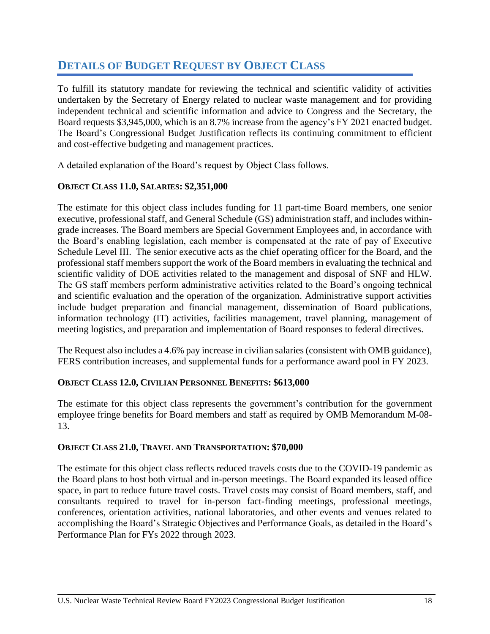## <span id="page-17-0"></span>**DETAILS OF BUDGET REQUEST BY OBJECT CLASS**

To fulfill its statutory mandate for reviewing the technical and scientific validity of activities undertaken by the Secretary of Energy related to nuclear waste management and for providing independent technical and scientific information and advice to Congress and the Secretary, the Board requests \$3,945,000, which is an 8.7% increase from the agency's FY 2021 enacted budget. The Board's Congressional Budget Justification reflects its continuing commitment to efficient and cost-effective budgeting and management practices.

A detailed explanation of the Board's request by Object Class follows.

#### **OBJECT CLASS 11.0, SALARIES: \$2,351,000**

The estimate for this object class includes funding for 11 part-time Board members, one senior executive, professional staff, and General Schedule (GS) administration staff, and includes withingrade increases. The Board members are Special Government Employees and, in accordance with the Board's enabling legislation, each member is compensated at the rate of pay of Executive Schedule Level III. The senior executive acts as the chief operating officer for the Board, and the professional staff members support the work of the Board members in evaluating the technical and scientific validity of DOE activities related to the management and disposal of SNF and HLW. The GS staff members perform administrative activities related to the Board's ongoing technical and scientific evaluation and the operation of the organization. Administrative support activities include budget preparation and financial management, dissemination of Board publications, information technology (IT) activities, facilities management, travel planning, management of meeting logistics, and preparation and implementation of Board responses to federal directives.

The Request also includes a 4.6% pay increase in civilian salaries (consistent with OMB guidance), FERS contribution increases, and supplemental funds for a performance award pool in FY 2023.

#### **OBJECT CLASS 12.0, CIVILIAN PERSONNEL BENEFITS: \$613,000**

The estimate for this object class represents the government's contribution for the government employee fringe benefits for Board members and staff as required by OMB Memorandum M-08- 13.

#### **OBJECT CLASS 21.0, TRAVEL AND TRANSPORTATION: \$70,000**

The estimate for this object class reflects reduced travels costs due to the COVID-19 pandemic as the Board plans to host both virtual and in-person meetings. The Board expanded its leased office space, in part to reduce future travel costs. Travel costs may consist of Board members, staff, and consultants required to travel for in-person fact-finding meetings, professional meetings, conferences, orientation activities, national laboratories, and other events and venues related to accomplishing the Board's Strategic Objectives and Performance Goals, as detailed in the Board's Performance Plan for FYs 2022 through 2023.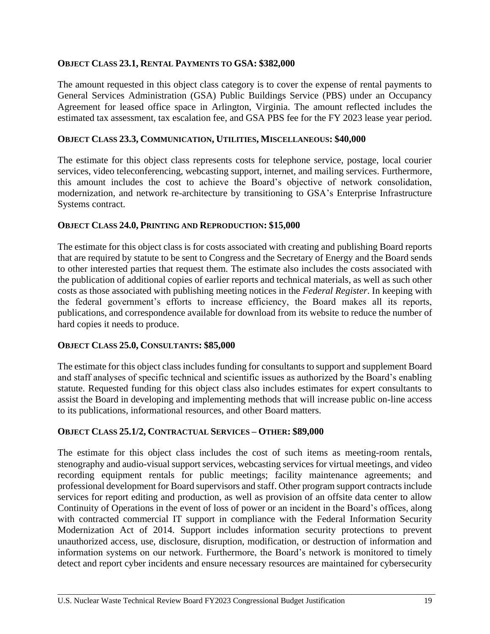#### **OBJECT CLASS 23.1, RENTAL PAYMENTS TO GSA: \$382,000**

The amount requested in this object class category is to cover the expense of rental payments to General Services Administration (GSA) Public Buildings Service (PBS) under an Occupancy Agreement for leased office space in Arlington, Virginia. The amount reflected includes the estimated tax assessment, tax escalation fee, and GSA PBS fee for the FY 2023 lease year period.

#### **OBJECT CLASS 23.3, COMMUNICATION, UTILITIES, MISCELLANEOUS: \$40,000**

The estimate for this object class represents costs for telephone service, postage, local courier services, video teleconferencing, webcasting support, internet, and mailing services. Furthermore, this amount includes the cost to achieve the Board's objective of network consolidation, modernization, and network re-architecture by transitioning to GSA's Enterprise Infrastructure Systems contract.

#### **OBJECT CLASS 24.0, PRINTING AND REPRODUCTION: \$15,000**

The estimate for this object class is for costs associated with creating and publishing Board reports that are required by statute to be sent to Congress and the Secretary of Energy and the Board sends to other interested parties that request them. The estimate also includes the costs associated with the publication of additional copies of earlier reports and technical materials, as well as such other costs as those associated with publishing meeting notices in the *Federal Register*. In keeping with the federal government's efforts to increase efficiency, the Board makes all its reports, publications, and correspondence available for download from its website to reduce the number of hard copies it needs to produce.

#### **OBJECT CLASS 25.0, CONSULTANTS: \$85,000**

The estimate for this object class includes funding for consultants to support and supplement Board and staff analyses of specific technical and scientific issues as authorized by the Board's enabling statute. Requested funding for this object class also includes estimates for expert consultants to assist the Board in developing and implementing methods that will increase public on-line access to its publications, informational resources, and other Board matters.

#### **OBJECT CLASS 25.1/2, CONTRACTUAL SERVICES – OTHER: \$89,000**

The estimate for this object class includes the cost of such items as meeting-room rentals, stenography and audio-visual support services, webcasting services for virtual meetings, and video recording equipment rentals for public meetings; facility maintenance agreements; and professional development for Board supervisors and staff. Other program support contracts include services for report editing and production, as well as provision of an offsite data center to allow Continuity of Operations in the event of loss of power or an incident in the Board's offices, along with contracted commercial IT support in compliance with the Federal Information Security Modernization Act of 2014. Support includes information security protections to prevent unauthorized access, use, disclosure, disruption, modification, or destruction of information and information systems on our network. Furthermore, the Board's network is monitored to timely detect and report cyber incidents and ensure necessary resources are maintained for cybersecurity